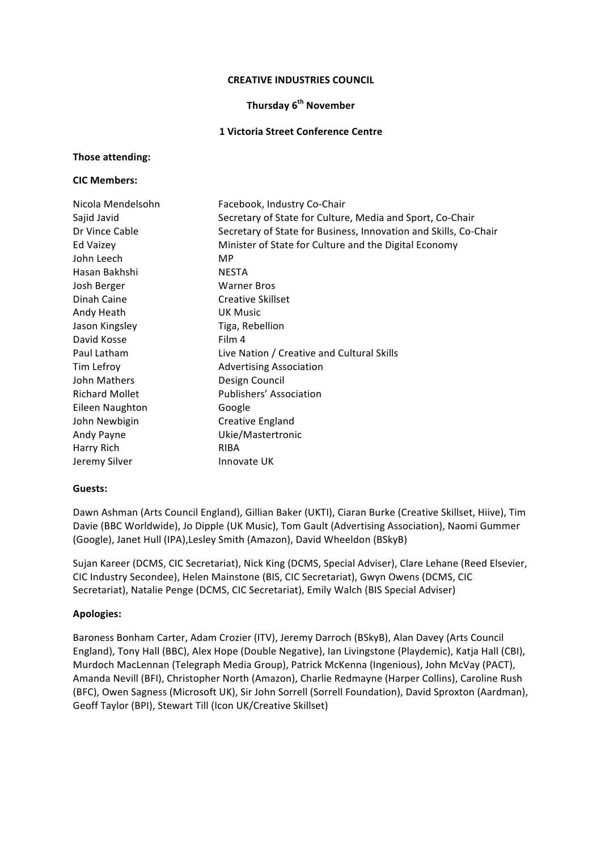#### **CREATIVE INDUSTRIES COUNCIL**

### **Thursday 6th November**

#### **1 Victoria Street Conference Centre**

#### **Those attending:**

#### **CIC Members:**

| Nicola Mendelsohn     | Facebook, Industry Co-Chair                                      |
|-----------------------|------------------------------------------------------------------|
| Sajid Javid           | Secretary of State for Culture, Media and Sport, Co-Chair        |
| Dr Vince Cable        | Secretary of State for Business, Innovation and Skills, Co-Chair |
| Ed Vaizey             | Minister of State for Culture and the Digital Economy            |
| John Leech            | MP.                                                              |
| Hasan Bakhshi         | NESTA                                                            |
| Josh Berger           | <b>Warner Bros</b>                                               |
| Dinah Caine           | <b>Creative Skillset</b>                                         |
| Andy Heath            | UK Music                                                         |
| Jason Kingsley        | Tiga, Rebellion                                                  |
| David Kosse           | Film 4                                                           |
| Paul Latham           | Live Nation / Creative and Cultural Skills                       |
| Tim Lefroy            | <b>Advertising Association</b>                                   |
| John Mathers          | Design Council                                                   |
| <b>Richard Mollet</b> | Publishers' Association                                          |
| Eileen Naughton       | Google                                                           |
| John Newbigin         | Creative England                                                 |
| Andy Payne            | Ukie/Mastertronic                                                |
| Harry Rich            | RIBA                                                             |
| Jeremy Silver         | Innovate UK                                                      |

#### Guests:

Dawn Ashman (Arts Council England), Gillian Baker (UKTI), Ciaran Burke (Creative Skillset, Hiive), Tim Davie (BBC Worldwide), Jo Dipple (UK Music), Tom Gault (Advertising Association), Naomi Gummer (Google), Janet Hull (IPA), Lesley Smith (Amazon), David Wheeldon (BSkyB)

Sujan Kareer (DCMS, CIC Secretariat), Nick King (DCMS, Special Adviser), Clare Lehane (Reed Elsevier, CIC Industry Secondee), Helen Mainstone (BIS, CIC Secretariat), Gwyn Owens (DCMS, CIC Secretariat), Natalie Penge (DCMS, CIC Secretariat), Emily Walch (BIS Special Adviser)

#### **Apologies:**

Baroness Bonham Carter, Adam Crozier (ITV), Jeremy Darroch (BSkyB), Alan Davey (Arts Council England), Tony Hall (BBC), Alex Hope (Double Negative), Ian Livingstone (Playdemic), Katja Hall (CBI), Murdoch MacLennan (Telegraph Media Group), Patrick McKenna (Ingenious), John McVay (PACT), Amanda Nevill (BFI), Christopher North (Amazon), Charlie Redmayne (Harper Collins), Caroline Rush (BFC), Owen Sagness (Microsoft UK), Sir John Sorrell (Sorrell Foundation), David Sproxton (Aardman), Geoff Taylor (BPI), Stewart Till (Icon UK/Creative Skillset)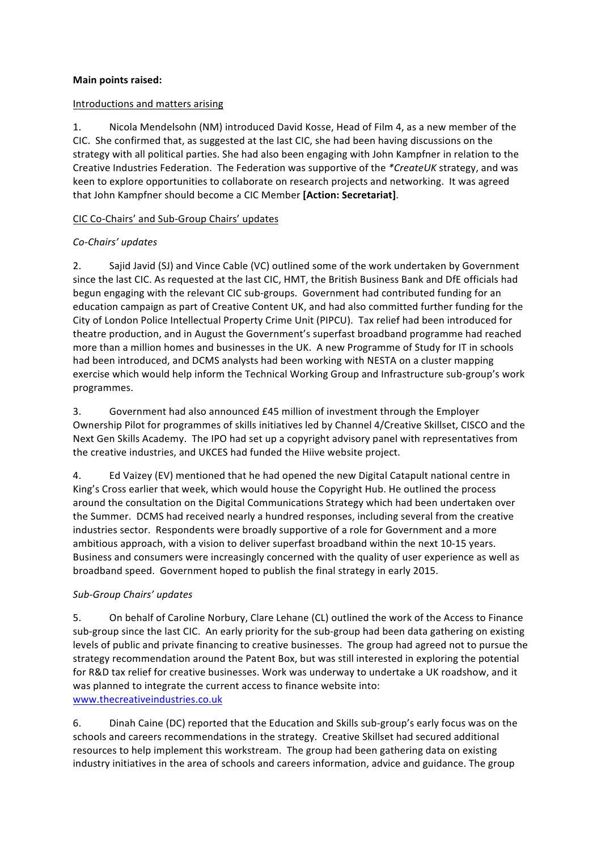### **Main points raised:**

### Introductions and matters arising

1. Nicola Mendelsohn (NM) introduced David Kosse, Head of Film 4, as a new member of the CIC. She confirmed that, as suggested at the last CIC, she had been having discussions on the strategy with all political parties. She had also been engaging with John Kampfner in relation to the Creative Industries Federation. The Federation was supportive of the *\*CreateUK* strategy, and was keen to explore opportunities to collaborate on research projects and networking. It was agreed that John Kampfner should become a CIC Member **[Action: Secretariat]**.

## CIC Co-Chairs' and Sub-Group Chairs' updates

## *Co-Chairs' updates*

2. Sajid Javid (SJ) and Vince Cable (VC) outlined some of the work undertaken by Government since the last CIC. As requested at the last CIC, HMT, the British Business Bank and DfE officials had begun engaging with the relevant CIC sub-groups. Government had contributed funding for an education campaign as part of Creative Content UK, and had also committed further funding for the City of London Police Intellectual Property Crime Unit (PIPCU). Tax relief had been introduced for theatre production, and in August the Government's superfast broadband programme had reached more than a million homes and businesses in the UK. A new Programme of Study for IT in schools had been introduced, and DCMS analysts had been working with NESTA on a cluster mapping exercise which would help inform the Technical Working Group and Infrastructure sub-group's work programmes. 

3. Government had also announced £45 million of investment through the Employer Ownership Pilot for programmes of skills initiatives led by Channel 4/Creative Skillset, CISCO and the Next Gen Skills Academy. The IPO had set up a copyright advisory panel with representatives from the creative industries, and UKCES had funded the Hiive website project.

4. Ed Vaizey (EV) mentioned that he had opened the new Digital Catapult national centre in King's Cross earlier that week, which would house the Copyright Hub. He outlined the process around the consultation on the Digital Communications Strategy which had been undertaken over the Summer. DCMS had received nearly a hundred responses, including several from the creative industries sector. Respondents were broadly supportive of a role for Government and a more ambitious approach, with a vision to deliver superfast broadband within the next 10-15 years. Business and consumers were increasingly concerned with the quality of user experience as well as broadband speed. Government hoped to publish the final strategy in early 2015.

## *Sub-Group Chairs' updates*

5. On behalf of Caroline Norbury, Clare Lehane (CL) outlined the work of the Access to Finance sub-group since the last CIC. An early priority for the sub-group had been data gathering on existing levels of public and private financing to creative businesses. The group had agreed not to pursue the strategy recommendation around the Patent Box, but was still interested in exploring the potential for R&D tax relief for creative businesses. Work was underway to undertake a UK roadshow, and it was planned to integrate the current access to finance website into: www.thecreativeindustries.co.uk

6. Dinah Caine (DC) reported that the Education and Skills sub-group's early focus was on the schools and careers recommendations in the strategy. Creative Skillset had secured additional resources to help implement this workstream. The group had been gathering data on existing industry initiatives in the area of schools and careers information, advice and guidance. The group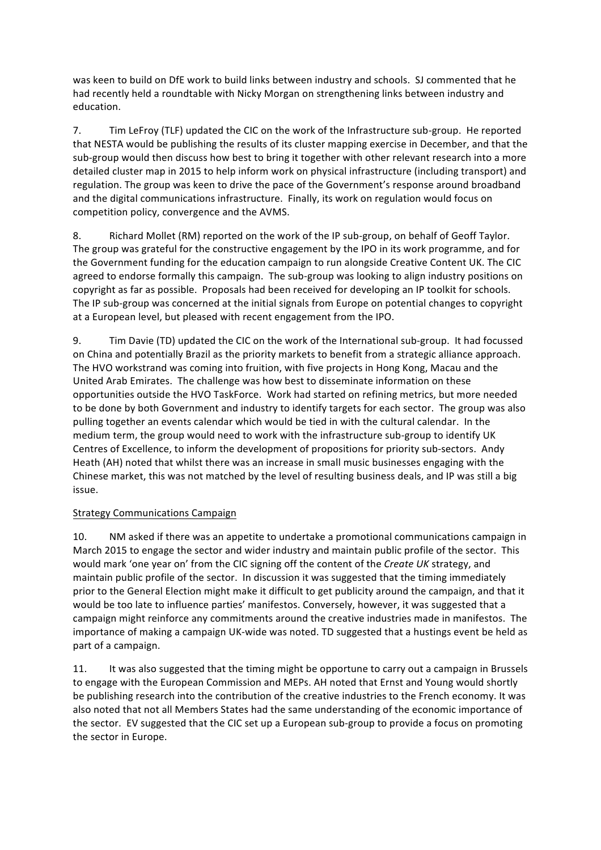was keen to build on DfE work to build links between industry and schools. SJ commented that he had recently held a roundtable with Nicky Morgan on strengthening links between industry and education.

7. Tim LeFroy (TLF) updated the CIC on the work of the Infrastructure sub-group. He reported that NESTA would be publishing the results of its cluster mapping exercise in December, and that the sub-group would then discuss how best to bring it together with other relevant research into a more detailed cluster map in 2015 to help inform work on physical infrastructure (including transport) and regulation. The group was keen to drive the pace of the Government's response around broadband and the digital communications infrastructure. Finally, its work on regulation would focus on competition policy, convergence and the AVMS.

8. Richard Mollet (RM) reported on the work of the IP sub-group, on behalf of Geoff Taylor. The group was grateful for the constructive engagement by the IPO in its work programme, and for the Government funding for the education campaign to run alongside Creative Content UK. The CIC agreed to endorse formally this campaign. The sub-group was looking to align industry positions on copyright as far as possible. Proposals had been received for developing an IP toolkit for schools. The IP sub-group was concerned at the initial signals from Europe on potential changes to copyright at a European level, but pleased with recent engagement from the IPO.

9. Tim Davie (TD) updated the CIC on the work of the International sub-group. It had focussed on China and potentially Brazil as the priority markets to benefit from a strategic alliance approach. The HVO workstrand was coming into fruition, with five projects in Hong Kong, Macau and the United Arab Emirates. The challenge was how best to disseminate information on these opportunities outside the HVO TaskForce. Work had started on refining metrics, but more needed to be done by both Government and industry to identify targets for each sector. The group was also pulling together an events calendar which would be tied in with the cultural calendar. In the medium term, the group would need to work with the infrastructure sub-group to identify UK Centres of Excellence, to inform the development of propositions for priority sub-sectors. Andy Heath (AH) noted that whilst there was an increase in small music businesses engaging with the Chinese market, this was not matched by the level of resulting business deals, and IP was still a big issue.

## Strategy Communications Campaign

10. NM asked if there was an appetite to undertake a promotional communications campaign in March 2015 to engage the sector and wider industry and maintain public profile of the sector. This would mark 'one year on' from the CIC signing off the content of the *Create UK* strategy, and maintain public profile of the sector. In discussion it was suggested that the timing immediately prior to the General Election might make it difficult to get publicity around the campaign, and that it would be too late to influence parties' manifestos. Conversely, however, it was suggested that a campaign might reinforce any commitments around the creative industries made in manifestos. The importance of making a campaign UK-wide was noted. TD suggested that a hustings event be held as part of a campaign.

11. It was also suggested that the timing might be opportune to carry out a campaign in Brussels to engage with the European Commission and MEPs. AH noted that Ernst and Young would shortly be publishing research into the contribution of the creative industries to the French economy. It was also noted that not all Members States had the same understanding of the economic importance of the sector. EV suggested that the CIC set up a European sub-group to provide a focus on promoting the sector in Europe.